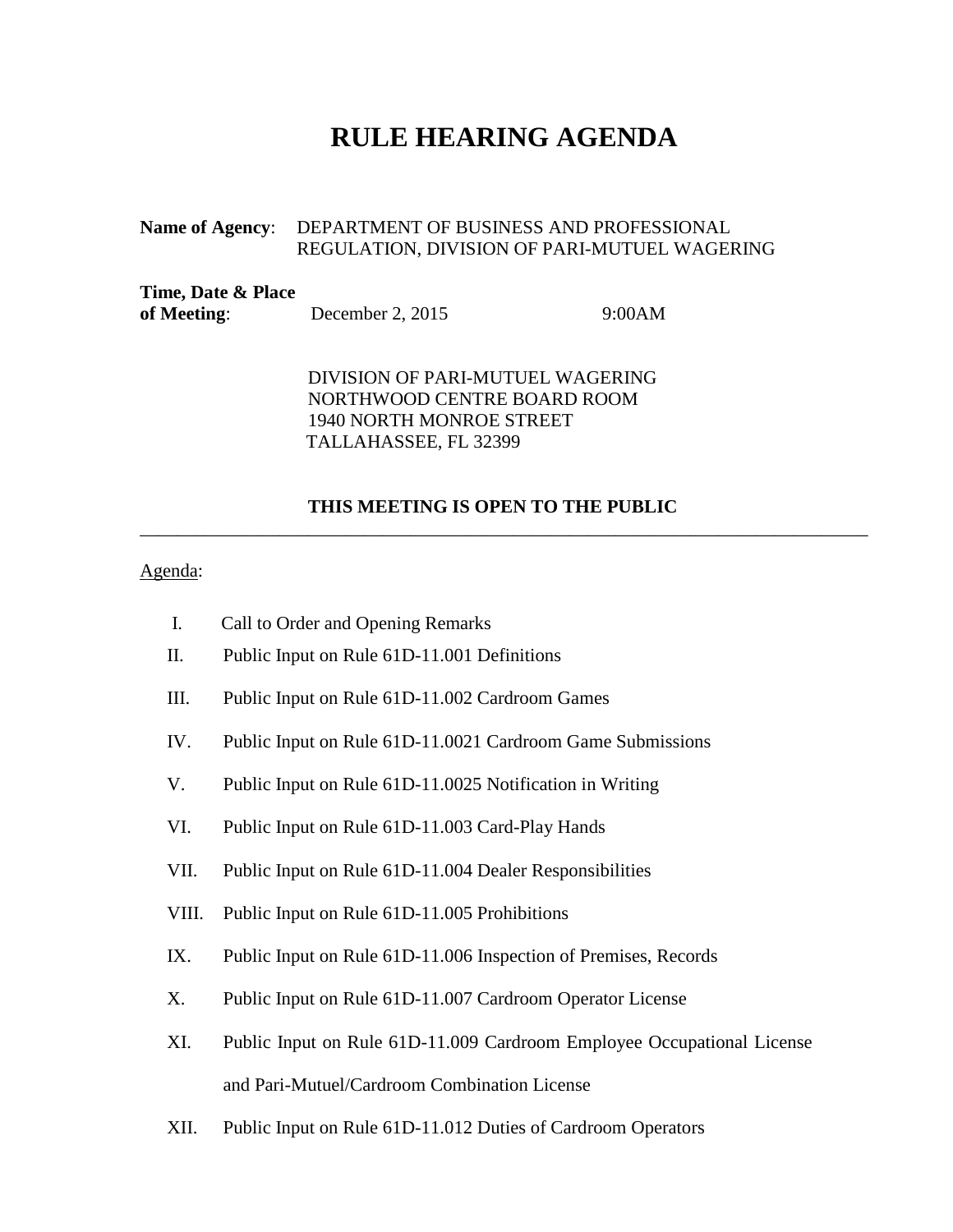## **RULE HEARING AGENDA**

## **Name of Agency**: DEPARTMENT OF BUSINESS AND PROFESSIONAL REGULATION, DIVISION OF PARI-MUTUEL WAGERING

| Time, Date & Place |                    |        |
|--------------------|--------------------|--------|
| of Meeting:        | December 2, $2015$ | 9:00AM |

DIVISION OF PARI-MUTUEL WAGERING NORTHWOOD CENTRE BOARD ROOM 1940 NORTH MONROE STREET TALLAHASSEE, FL 32399

## **THIS MEETING IS OPEN TO THE PUBLIC**

\_\_\_\_\_\_\_\_\_\_\_\_\_\_\_\_\_\_\_\_\_\_\_\_\_\_\_\_\_\_\_\_\_\_\_\_\_\_\_\_\_\_\_\_\_\_\_\_\_\_\_\_\_\_\_\_\_\_\_\_\_\_\_\_\_\_\_\_\_\_\_\_\_\_\_\_\_\_

## Agenda:

- I. Call to Order and Opening Remarks
- II. Public Input on Rule 61D-11.001 Definitions
- III. Public Input on Rule 61D-11.002 Cardroom Games
- IV. Public Input on Rule 61D-11.0021 Cardroom Game Submissions
- V. Public Input on Rule 61D-11.0025 Notification in Writing
- VI. Public Input on Rule 61D-11.003 Card-Play Hands
- VII. Public Input on Rule 61D-11.004 Dealer Responsibilities
- VIII. Public Input on Rule 61D-11.005 Prohibitions
- IX. Public Input on Rule 61D-11.006 Inspection of Premises, Records
- X. Public Input on Rule 61D-11.007 Cardroom Operator License
- XI. Public Input on Rule 61D-11.009 Cardroom Employee Occupational License and Pari-Mutuel/Cardroom Combination License
- XII. Public Input on Rule 61D-11.012 Duties of Cardroom Operators